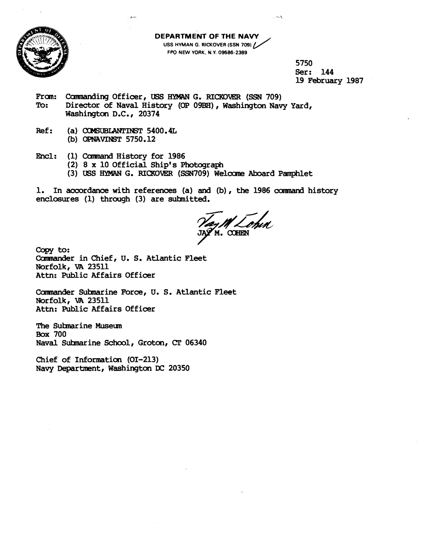

**DEPARTMENT OF THE NAW USS HYMAN G. RICKOVER (SSN 709) / FPO NEW YOAK. N.Y 09586-2389** 

> **5750 Ser: 144 19 February 1987**

From: Commanding Officer, USS HYMAN G. RICKOVER (SSN 709) To: Director of Naval History (OP 09BH), Washington Nav Director of Naval History (OP 09BH), Washington Navy Yard, **Washington D.C., 20374** 

**Ref:** (a) **COMSUBLANTINST 5400.4L** (b) OPNAVINST 5750.12

Encl: (1) Command History for 1986

**(2) 8 x 10 Official Ship's Phobograph** 

(3) USS HYMAN G. RICKOVER (SSN709) Welcome Aboard Pamphlet

**1. In accordance with references (a) and (b)** , **the 1986** camrand **history**  enclosures (1) through (3) are submitted.

AM Lohn

Copy to: **Carmander in Chief, U. S. Atlantic Fleet Norfolk,** rn **<sup>23511</sup> Attn: Public Affairs Officer** 

Commander Submarine Force, U. S. Atlantic Fleet **Norfolk,** rn **<sup>23511</sup> Attn: Public Affairs Officer** 

**The Sutmarine Musem Box 700 Naval Sulsmarine School, Groton, CT 063140** 

**Chief of Information (01-213) Navy Department, Washington DC 20350**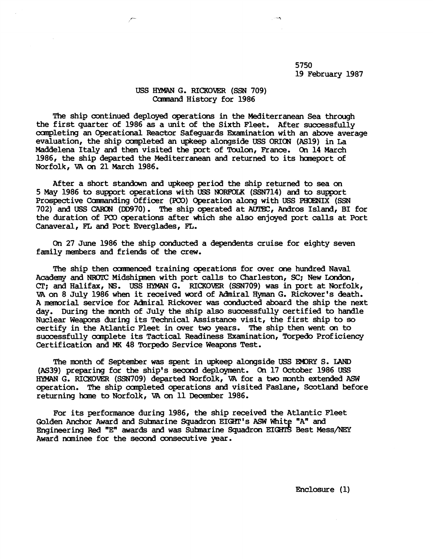**5750 19 February 1987** 

## USS HYMAN G. RICKOVER (SSN 709) ComMnd **History for 1986**

**The ship continued deployed operations in the Mediterranean Sea through the first quarter of 1986 as a unit of the Sixth Fleet. After successfully canpleting an Operational %actor Safeguards Examination with an above average evaluation, the ship canpleted an upkeep alongside** USS **ORIm (AS19) in La**  Maddelena Italy and then visited the port of Toulon, France. On 14 March **1986, the ship departed the Mediterranean and returned to its haneport of**  Norfolk, VA on 21 March 1986.

**After a short standown and upkeep period the ship returned to sea on 5 May 1986 to support operations with USS NOFW3LK (SSN714) and to support**  Prospective Commanding Officer (PCO) Operation along with USS PHOENIX (SSN **702) and USS** CAW3N **(DD970). The ship operated at AUEC, Andros Island, BI for the duration of PCO operations after which she also enjoyed port calls at Port Canaveral, FL and Port Everglades, FL.** 

**On 27 June 1986 the ship mnducted a dependents cruise for eighty seven family members and friends of the crew.** 

**The ship then oamnenced training operations for wer one hundred Naval Academy and** NRUJC **Midshipnen with port calls to Charleston, SC; New London, CT; and Halifax, NS. USS** HYMAN **G. RICKOVER (SSN709) was in port at Norfolk, VA on 8 July 1986 when it received word of Admiral Hyman G. Rickwer's death. A memorial service for Adniral Rickwer was conducted aboard the ship the next day. During the month of July the ship also successfully certified to handle Nuclear Weapons during its Technical Assistance visit, the first ship to so certify in the Atlantic Fleet in over** two **years. The ship then went on to successfully cunplete its Tactical Readiness Examination, Torpedo Proficiency Certification and MK 48 Torpedo Service Weapons Test.** 

**The mnth of September was spent in upkeep alongside** USS **WRY S. LAND (AS39) preparing for the ship's** secod **deployment. On 17 October 1986 USS**  HYMAN **G. RICKOVER (SSN709) departed Norfolk, VA for a** two **mnth extended** ASW **operation. The ship canpleted operations and visited Faslane, Scotland before**  returning home to Norfolk, VA on 11 December 1986.

**For its performanoe during 1986, the ship received the Atlantic Fleet**  Golden Anchor Award and Submarine Squadron EIGHT's ASW White "A" and Engineering Red "E" awards and was Submarine Squadron EIGHTS Best Mess/NEY **Award naninee for the second oonsecutive year.** 

**Enclosure (1)**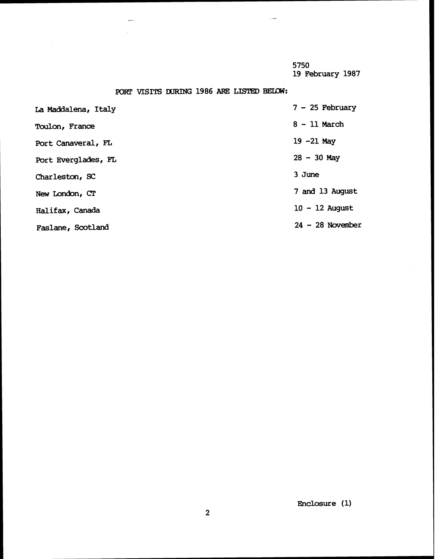**5750 19 February 1987** 

## **PORT VISITS DURING 1986 ARE LISTED BELOW:**

 $\sim$ 

| La Maddalena, Italy   | $7 - 25$ February  |
|-----------------------|--------------------|
| <b>Toulon, France</b> | $8 - 11$ March     |
| Port Canaveral, FL    | $19 - 21$ May      |
| Port Everglades, FL   | $28 - 30$ May      |
| Charleston, SC        | 3 June             |
| New London, CT        | 7 and 13 August    |
| Halifax, Canada       | $10 - 12$ August   |
| Faslane, Scotland     | $24 - 28$ November |
|                       |                    |